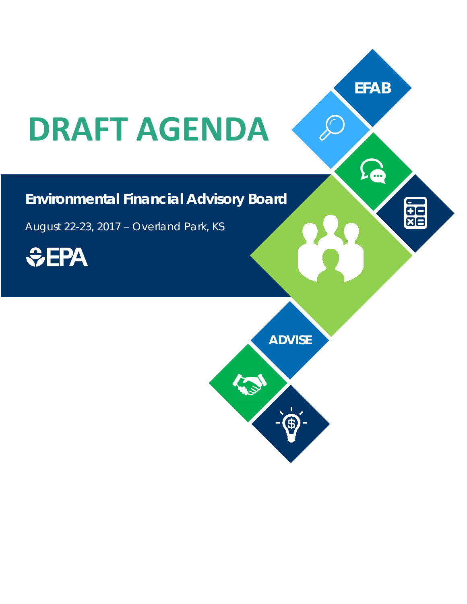## **DRAFT AGENDA**

## **Environmental Financial Advisory Board**

August 22-23, 2017 − Overland Park, KS



**ADVISE**

**ASSA** 

**EFAB**

 $\sum$ 

**es** 

 $\mathcal{D}$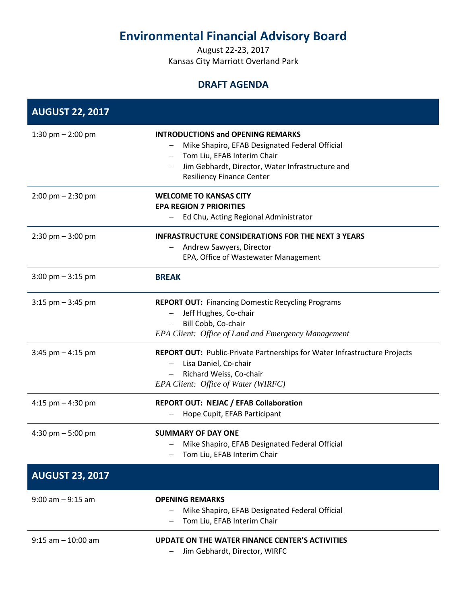## **Environmental Financial Advisory Board**

August 22-23, 2017 Kansas City Marriott Overland Park

## **DRAFT AGENDA**

| <b>AUGUST 22, 2017</b>              |                                                                                                                                                                                                                   |
|-------------------------------------|-------------------------------------------------------------------------------------------------------------------------------------------------------------------------------------------------------------------|
| 1:30 pm $-$ 2:00 pm                 | <b>INTRODUCTIONS and OPENING REMARKS</b><br>Mike Shapiro, EFAB Designated Federal Official<br>Tom Liu, EFAB Interim Chair<br>Jim Gebhardt, Director, Water Infrastructure and<br><b>Resiliency Finance Center</b> |
| $2:00 \text{ pm} - 2:30 \text{ pm}$ | <b>WELCOME TO KANSAS CITY</b><br><b>EPA REGION 7 PRIORITIES</b><br>Ed Chu, Acting Regional Administrator                                                                                                          |
| $2:30$ pm $-3:00$ pm                | <b>INFRASTRUCTURE CONSIDERATIONS FOR THE NEXT 3 YEARS</b><br>Andrew Sawyers, Director<br>EPA, Office of Wastewater Management                                                                                     |
| $3:00 \text{ pm} - 3:15 \text{ pm}$ | <b>BREAK</b>                                                                                                                                                                                                      |
| $3:15$ pm $-3:45$ pm                | <b>REPORT OUT: Financing Domestic Recycling Programs</b><br>Jeff Hughes, Co-chair<br>Bill Cobb, Co-chair<br>EPA Client: Office of Land and Emergency Management                                                   |
| $3:45$ pm $-4:15$ pm                | <b>REPORT OUT: Public-Private Partnerships for Water Infrastructure Projects</b><br>Lisa Daniel, Co-chair<br>Richard Weiss, Co-chair<br>EPA Client: Office of Water (WIRFC)                                       |
| 4:15 pm $-$ 4:30 pm                 | <b>REPORT OUT: NEJAC / EFAB Collaboration</b><br>Hope Cupit, EFAB Participant                                                                                                                                     |
| 4:30 pm $-5:00$ pm                  | <b>SUMMARY OF DAY ONE</b><br>Mike Shapiro, EFAB Designated Federal Official<br>Tom Liu, EFAB Interim Chair                                                                                                        |
| <b>AUGUST 23, 2017</b>              |                                                                                                                                                                                                                   |
| $9:00$ am $-9:15$ am                | <b>OPENING REMARKS</b><br>Mike Shapiro, EFAB Designated Federal Official<br>Tom Liu, EFAB Interim Chair                                                                                                           |
| $9:15$ am $-10:00$ am               | UPDATE ON THE WATER FINANCE CENTER'S ACTIVITIES<br>Jim Gebhardt, Director, WIRFC<br>—                                                                                                                             |